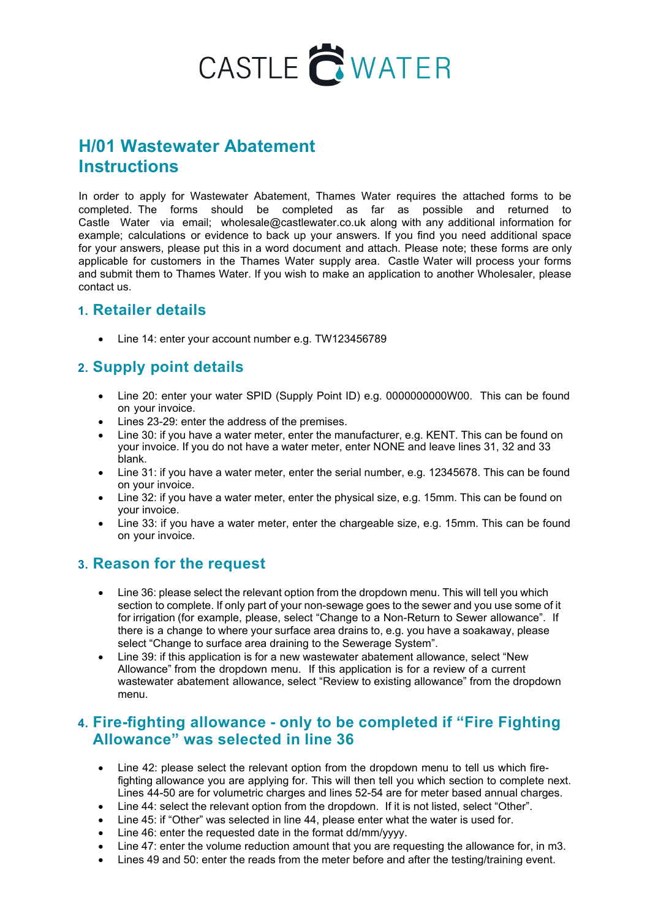# CASTLE CWATER

# **H/01 Wastewater Abatement Instructions**

In order to apply for Wastewater Abatement, Thames Water requires the attached forms to be completed. The forms should be completed as far as possible and returned to Castle Water via email; wholesale@castlewater.co.uk along with any additional information for example; calculations or evidence to back up your answers. If you find you need additional space for your answers, please put this in a word document and attach. Please note; these forms are only applicable for customers in the Thames Water supply area. Castle Water will process your forms and submit them to Thames Water. If you wish to make an application to another Wholesaler, please contact us.

#### **1. Retailer details**

• Line 14: enter your account number e.g. TW123456789

## **2. Supply point details**

- Line 20: enter your water SPID (Supply Point ID) e.g. 00000000000000. This can be found on your invoice.
- Lines 23-29: enter the address of the premises.
- Line 30: if you have a water meter, enter the manufacturer, e.g. KENT. This can be found on your invoice. If you do not have a water meter, enter NONE and leave lines 31, 32 and 33 blank.
- Line 31: if you have a water meter, enter the serial number, e.g. 12345678. This can be found on your invoice.
- Line 32: if you have a water meter, enter the physical size, e.g. 15mm. This can be found on your invoice.
- Line 33: if you have a water meter, enter the chargeable size, e.g. 15mm. This can be found on your invoice.

#### **3. Reason for the request**

- Line 36: please select the relevant option from the dropdown menu. This will tell you which section to complete. If only part of your non-sewage goes to the sewer and you use some of it for irrigation (for example, please, select "Change to a Non-Return to Sewer allowance". If there is a change to where your surface area drains to, e.g. you have a soakaway, please select "Change to surface area draining to the Sewerage System".
- Line 39: if this application is for a new wastewater abatement allowance, select "New Allowance" from the dropdown menu. If this application is for a review of a current wastewater abatement allowance, select "Review to existing allowance" from the dropdown menu.

#### **4. Fire-fighting allowance - only to be completed if "Fire Fighting Allowance" was selected in line 36**

- Line 42: please select the relevant option from the dropdown menu to tell us which firefighting allowance you are applying for. This will then tell you which section to complete next. Lines 44-50 are for volumetric charges and lines 52-54 are for meter based annual charges.
- Line 44: select the relevant option from the dropdown. If it is not listed, select "Other".
- Line 45: if "Other" was selected in line 44, please enter what the water is used for.
- Line 46: enter the requested date in the format dd/mm/yyyy.
- Line 47: enter the volume reduction amount that you are requesting the allowance for, in m3.
- Lines 49 and 50: enter the reads from the meter before and after the testing/training event.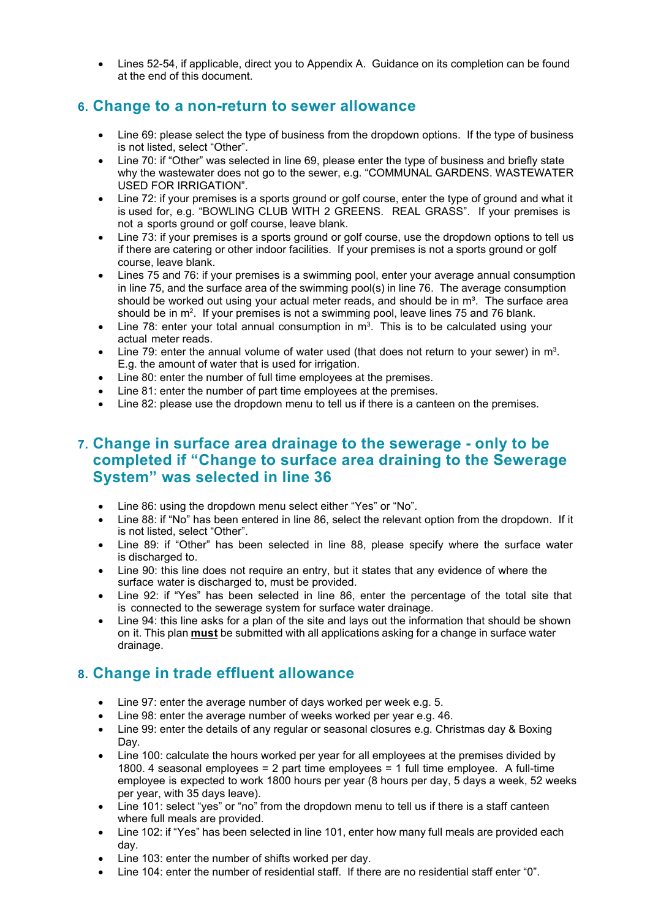• Lines 52-54, if applicable, direct you to Appendix A. Guidance on its completion can be found at the end of this document.

#### **6. Change to a non-return to sewer allowance**

- Line 69: please select the type of business from the dropdown options. If the type of business is not listed, select "Other".
- Line 70: if "Other" was selected in line 69, please enter the type of business and briefly state why the wastewater does not go to the sewer, e.g. "COMMUNAL GARDENS. WASTEWATER USED FOR IRRIGATION".
- Line 72: if your premises is a sports ground or golf course, enter the type of ground and what it is used for, e.g. "BOWLING CLUB WITH 2 GREENS. REAL GRASS". If your premises is not a sports ground or golf course, leave blank.
- Line 73: if your premises is a sports ground or golf course, use the dropdown options to tell us if there are catering or other indoor facilities. If your premises is not a sports ground or golf course, leave blank.
- Lines 75 and 76: if your premises is a swimming pool, enter your average annual consumption in line 75, and the surface area of the swimming pool(s) in line 76. The average consumption should be worked out using your actual meter reads, and should be in  $m<sup>3</sup>$ . The surface area should be in m<sup>2</sup>. If your premises is not a swimming pool, leave lines 75 and 76 blank.
- Line 78: enter your total annual consumption in  $m^3$ . This is to be calculated using your actual meter reads.
- Line 79: enter the annual volume of water used (that does not return to your sewer) in  $m^3$ . E.g. the amount of water that is used for irrigation.
- Line 80: enter the number of full time employees at the premises.
- Line 81: enter the number of part time employees at the premises.
- Line 82; please use the dropdown menu to tell us if there is a canteen on the premises.

#### **7. Change in surface area drainage to the sewerage - only to be completed if "Change to surface area draining to the Sewerage System" was selected in line 36**

- Line 86: using the dropdown menu select either "Yes" or "No".
- Line 88: if "No" has been entered in line 86, select the relevant option from the dropdown. If it is not listed, select "Other".
- Line 89: if "Other" has been selected in line 88, please specify where the surface water is discharged to.
- Line 90: this line does not require an entry, but it states that any evidence of where the surface water is discharged to, must be provided.
- Line 92: if "Yes" has been selected in line 86, enter the percentage of the total site that is connected to the sewerage system for surface water drainage.
- Line 94: this line asks for a plan of the site and lays out the information that should be shown on it. This plan **must** be submitted with all applications asking for a change in surface water drainage.

## **8. Change in trade effluent allowance**

- Line 97: enter the average number of days worked per week e.g. 5.
- Line 98: enter the average number of weeks worked per year e.g. 46.
- Line 99: enter the details of any regular or seasonal closures e.g. Christmas day & Boxing Day.
- Line 100: calculate the hours worked per year for all employees at the premises divided by 1800. 4 seasonal employees = 2 part time employees = 1 full time employee. A full-time employee is expected to work 1800 hours per year (8 hours per day, 5 days a week, 52 weeks per year, with 35 days leave).
- Line 101: select "yes" or "no" from the dropdown menu to tell us if there is a staff canteen where full meals are provided.
- Line 102: if "Yes" has been selected in line 101, enter how many full meals are provided each day.
- Line 103: enter the number of shifts worked per day.
- Line 104: enter the number of residential staff. If there are no residential staff enter "0".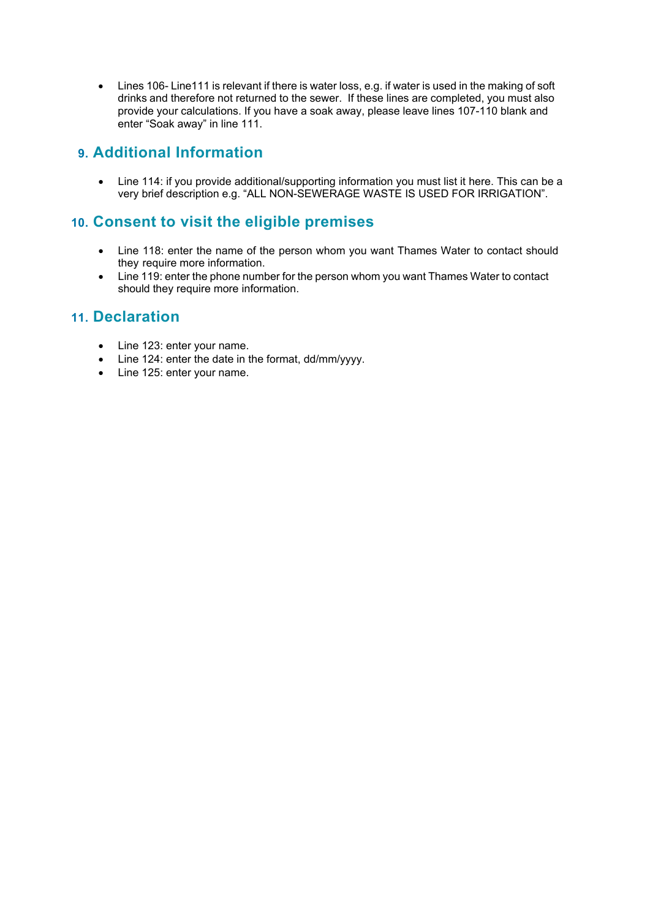• Lines 106- Line111 is relevant if there is water loss, e.g. if water is used in the making of soft drinks and therefore not returned to the sewer. If these lines are completed, you must also provide your calculations. If you have a soak away, please leave lines 107-110 blank and enter "Soak away" in line 111.

## **9. Additional Information**

• Line 114: if you provide additional/supporting information you must list it here. This can be a very brief description e.g. "ALL NON-SEWERAGE WASTE IS USED FOR IRRIGATION".

## **10. Consent to visit the eligible premises**

- Line 118: enter the name of the person whom you want Thames Water to contact should they require more information.
- Line 119: enter the phone number for the person whom you want Thames Water to contact should they require more information.

#### **11. Declaration**

- Line 123: enter your name.
- Line 124: enter the date in the format, dd/mm/yyyy.
- Line 125: enter your name.